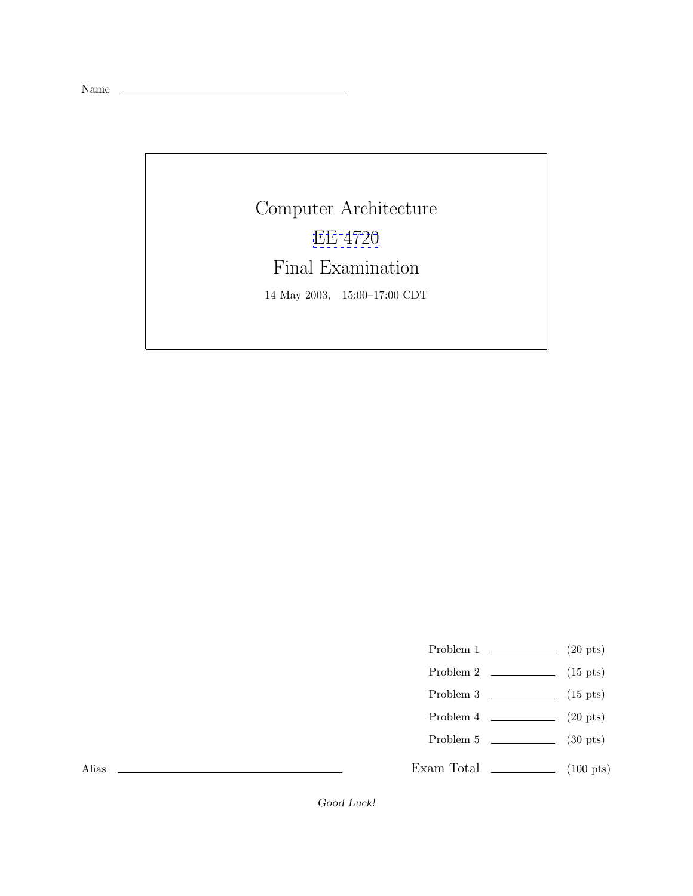Name

Computer Architecture [EE 4720](http://www.ece.lsu.edu/ee4720/) Final Examination 14 May 2003, 15:00–17:00 CDT

Problem 1  $\qquad \qquad (20 \text{ pts})$ 

- Problem 2 (15 pts)
- Problem 3  $\qquad \qquad$  (15 pts)
- Problem  $4 \t\t(20 \text{ pts})$
- Problem 5 (30 pts)

Exam Total \_\_\_\_\_\_\_\_\_\_\_\_\_ (100 pts)

Alias

Good Luck!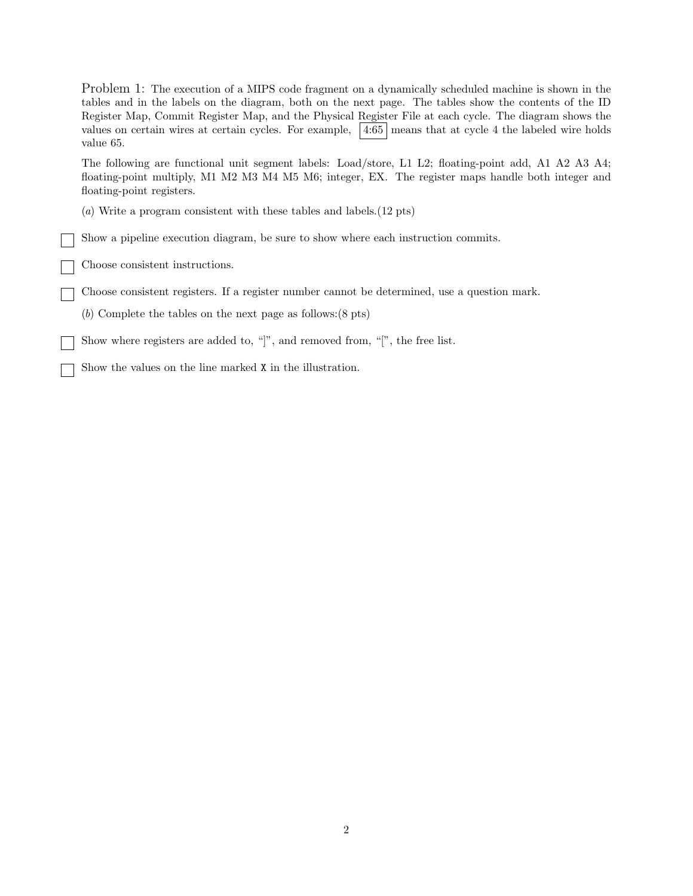Problem 1: The execution of a MIPS code fragment on a dynamically scheduled machine is shown in the tables and in the labels on the diagram, both on the next page. The tables show the contents of the ID Register Map, Commit Register Map, and the Physical Register File at each cycle. The diagram shows the values on certain wires at certain cycles. For example,  $\left|4:65\right|$  means that at cycle 4 the labeled wire holds value 65. The following are functional unit segment labels: Load/store, L1 L2; floating-point add, A1 A2 A3 A4; floating-point multiply, M1 M2 M3 M4 M5 M6; integer, EX. The register maps handle both integer and floating-point registers. (a) Write a program consistent with these tables and labels.(12 pts) Show a pipeline execution diagram, be sure to show where each instruction commits. Choose consistent instructions. Choose consistent registers. If a register number cannot be determined, use a question mark. (b) Complete the tables on the next page as follows:(8 pts) Show where registers are added to, "]", and removed from, "[", the free list. Show the values on the line marked X in the illustration.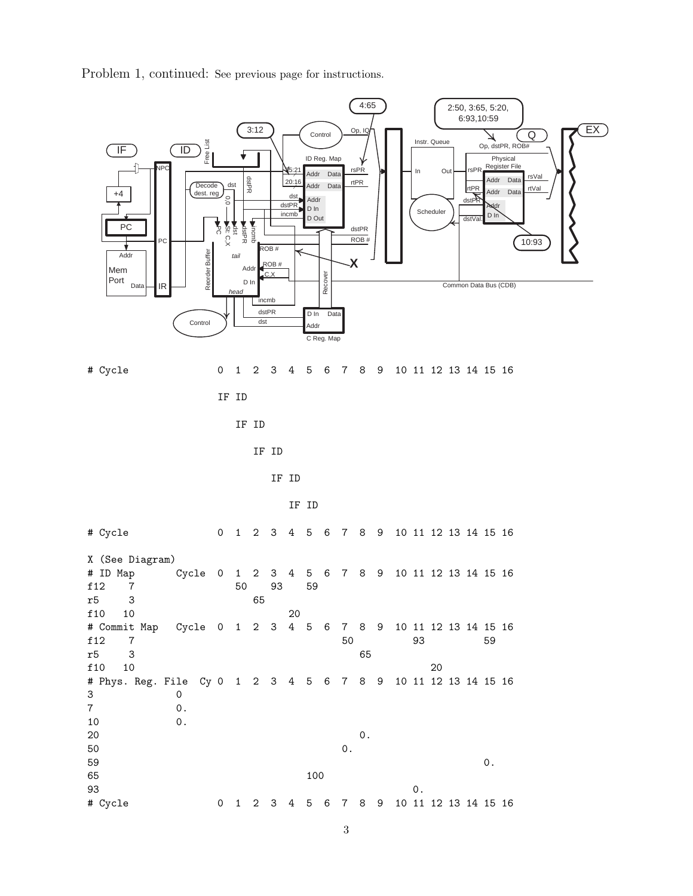4:65 2:50, 3:65, 5:20, 6:93,10:59 3:12 Op, IQ Control Q  $\overline{\mathcal{X}}$ Instr. Queue Free List Op, dstPR, ROB#  $(\mathsf{IF})$   $(\mathsf{ID})$ ID Reg. Map Physical Register File rsPR NPC In Out rsPR  $\sqrt{5:2}$ Addr Data rsVal dstPR 20:16 rtPR Addr Data **Decode** dst rtPR Addr Data rtVal Addr Data dest. reg +4 dstPR dst 0,0 Addr dstPR D In **A**ddr Scheduler incmb D In D Out dstVal. PC dstPR t<br>C St: C,X incmb dstPR dst ROB # PC 10:93  $ROB#$ Reorder Buffer Addr Buff tail **X** ROB # Add Mem Recover Port D In Data Common Data Bus (CDB) IR head incmb dstPR D In Data Control ) dst bb/ C Reg. Map # Cycle 0 1 2 3 4 5 6 7 8 9 10 11 12 13 14 15 16 IF ID IF ID IF ID IF ID IF ID # Cycle 0 1 2 3 4 5 6 7 8 9 10 11 12 13 14 15 16 X (See Diagram) # ID Map Cycle 0 1 2 3 4 5 6 7 8 9 10 11 12 13 14 15 16 f12 7 50 93 59 r5 3 65 f10 10 20 # Commit Map Cycle 0 1 2 3 4 5 6 7 8 9 10 11 12 13 14 15 16 f12 7 50 93 59 r5 3 65 f 10 10 20 # Phys. Reg. File Cy 0 1 2 3 4 5 6 7 8 9 10 11 12 13 14 15 16 3 0 7 0. 10 0.  $20$  0.  $50$  0.  $59$  0.

 $\overline{EX}$ 

Problem 1, continued: See previous page for instructions.

65 100

 $93$  0.

# Cycle 0 1 2 3 4 5 6 7 8 9 10 11 12 13 14 15 16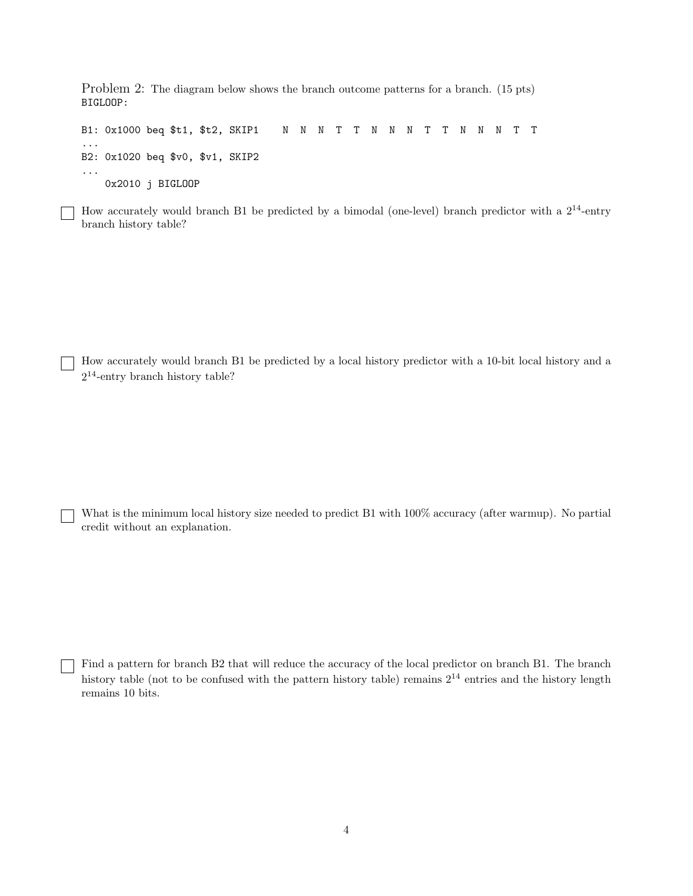Problem 2: The diagram below shows the branch outcome patterns for a branch. (15 pts) BIGLOOP:

B1: 0x1000 beq \$t1, \$t2, SKIP1 N N N T T N N N T T N N N T T ... B2: 0x1020 beq \$v0, \$v1, SKIP2 ... 0x2010 j BIGLOOP

How accurately would branch B1 be predicted by a bimodal (one-level) branch predictor with a  $2^{14}$ -entry branch history table?

How accurately would branch B1 be predicted by a local history predictor with a 10-bit local history and a  $2^{14}$ -entry branch history table?

What is the minimum local history size needed to predict B1 with  $100\%$  accuracy (after warmup). No partial credit without an explanation.

Find a pattern for branch B2 that will reduce the accuracy of the local predictor on branch B1. The branch history table (not to be confused with the pattern history table) remains  $2^{14}$  entries and the history length remains 10 bits.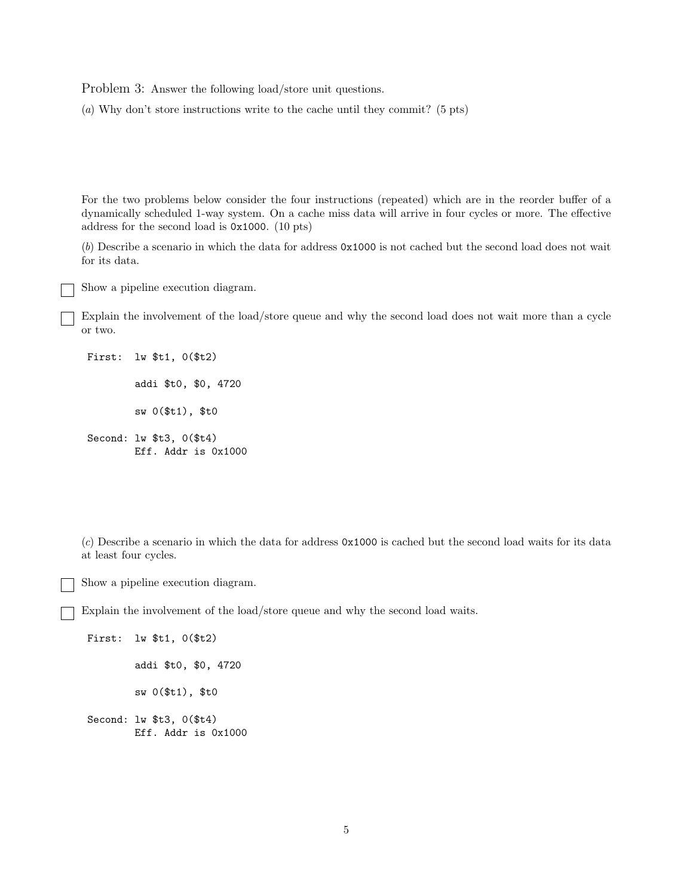Problem 3: Answer the following load/store unit questions.

(a) Why don't store instructions write to the cache until they commit? (5 pts)

For the two problems below consider the four instructions (repeated) which are in the reorder buffer of a dynamically scheduled 1-way system. On a cache miss data will arrive in four cycles or more. The effective address for the second load is 0x1000. (10 pts)

(b) Describe a scenario in which the data for address 0x1000 is not cached but the second load does not wait for its data.

Show a pipeline execution diagram.

Explain the involvement of the load/store queue and why the second load does not wait more than a cycle or two.

First: lw \$t1, 0(\$t2)

addi \$t0, \$0, 4720

sw 0(\$t1), \$t0

Second: lw \$t3, 0(\$t4) Eff. Addr is 0x1000

(c) Describe a scenario in which the data for address 0x1000 is cached but the second load waits for its data at least four cycles.

Show a pipeline execution diagram.

Explain the involvement of the load/store queue and why the second load waits.

First: lw \$t1, 0(\$t2) addi \$t0, \$0, 4720 sw 0(\$t1), \$t0 Second: lw \$t3, 0(\$t4) Eff. Addr is 0x1000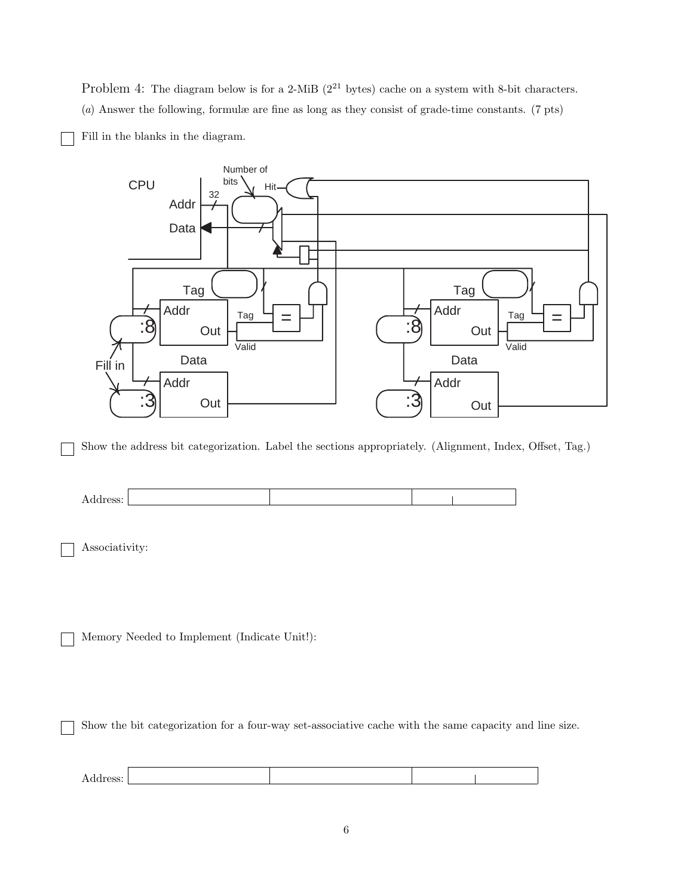Problem 4: The diagram below is for a 2-MiB ( $2^{21}$  bytes) cache on a system with 8-bit characters. (a) Answer the following, formulæ are fine as long as they consist of grade-time constants. (7 pts)

Fill in the blanks in the diagram.



Show the address bit categorization. Label the sections appropriately. (Alignment, Index, Offset, Tag.)



Associativity:

Memory Needed to Implement (Indicate Unit!):

Show the bit categorization for a four-way set-associative cache with the same capacity and line size.

| UDD. |  |  |
|------|--|--|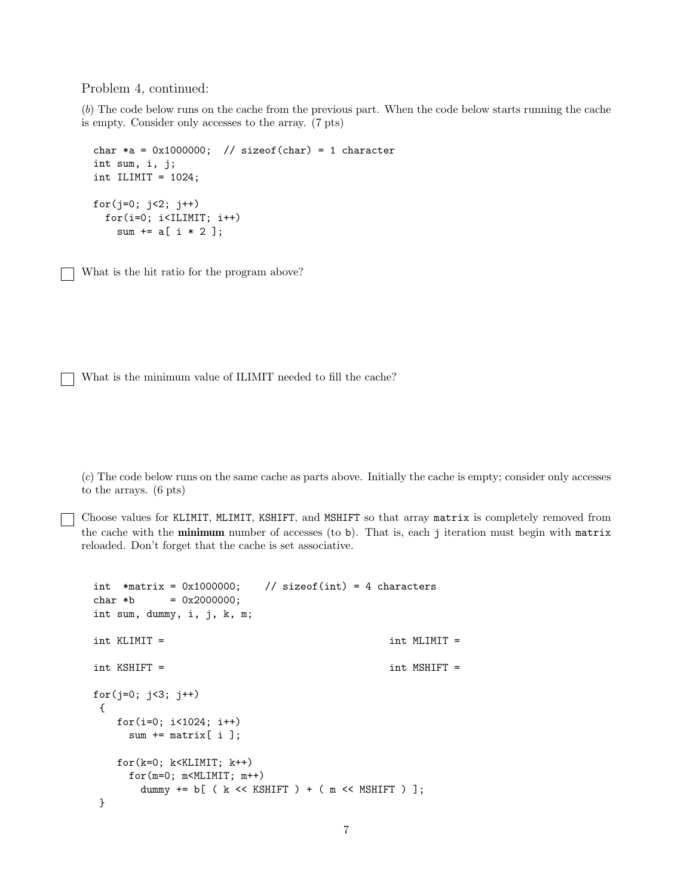Problem 4, continued:

(b) The code below runs on the cache from the previous part. When the code below starts running the cache is empty. Consider only accesses to the array. (7 pts)

```
char *a = 0x1000000; // sizeof(char) = 1 character
int sum, i, j;
int ILIMIT = 1024;
for(j=0; j<2; j++)
 for(i=0; i<ILIMIT; i++)
   sum += a[ i * 2 ];
```
What is the hit ratio for the program above?

What is the minimum value of ILIMIT needed to fill the cache?

(c) The code below runs on the same cache as parts above. Initially the cache is empty; consider only accesses to the arrays. (6 pts)

Choose values for KLIMIT, MLIMIT, KSHIFT, and MSHIFT so that array matrix is completely removed from the cache with the **minimum** number of accesses (to b). That is, each j iteration must begin with matrix reloaded. Don't forget that the cache is set associative.

```
int *matrix = 0x1000000; // sizeof(int) = 4 characters
char *b = 0x2000000;int sum, dummy, i, j, k, m;
int KLIMIT = int MLIMIT =
int KSHIFT = int MSHIFT =
for(j=0; j<3; j++)
{
   for(i=0; i<1024; i++)
    sum += matrix[ i ];
   for(k=0; k<KLIMIT; k++)
    for(m=0; m<MLIMIT; m++)dummy += b[ ( k << KSHIFT ) + ( m << MSHIFT ) ];
}
```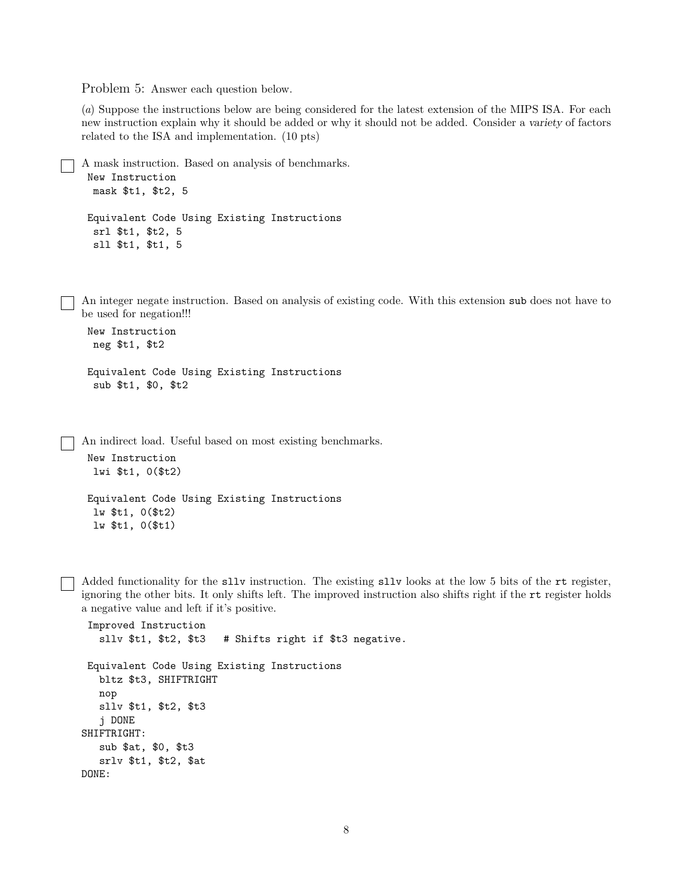Problem 5: Answer each question below.

(a) Suppose the instructions below are being considered for the latest extension of the MIPS ISA. For each new instruction explain why it should be added or why it should not be added. Consider a variety of factors related to the ISA and implementation. (10 pts)

```
A mask instruction. Based on analysis of benchmarks.
 New Instruction
  mask $t1, $t2, 5
 Equivalent Code Using Existing Instructions
  srl $t1, $t2, 5
  sll $t1, $t1, 5
```
An integer negate instruction. Based on analysis of existing code. With this extension sub does not have to be used for negation!!!

```
New Instruction
neg $t1, $t2
```

```
Equivalent Code Using Existing Instructions
 sub $t1, $0, $t2
```
An indirect load. Useful based on most existing benchmarks.

```
New Instruction
 lwi $t1, 0($t2)
```

```
Equivalent Code Using Existing Instructions
 lw $t1, 0($t2)
 lw $t1, 0($t1)
```
Added functionality for the sllv instruction. The existing sllv looks at the low 5 bits of the rt register, ignoring the other bits. It only shifts left. The improved instruction also shifts right if the rt register holds a negative value and left if it's positive.

```
Improved Instruction
   sllv $t1, $t2, $t3 # Shifts right if $t3 negative.
Equivalent Code Using Existing Instructions
  bltz $t3, SHIFTRIGHT
  nop
  sllv $t1, $t2, $t3
   j DONE
SHIFTRIGHT:
  sub $at, $0, $t3
   srlv $t1, $t2, $at
DONE:
```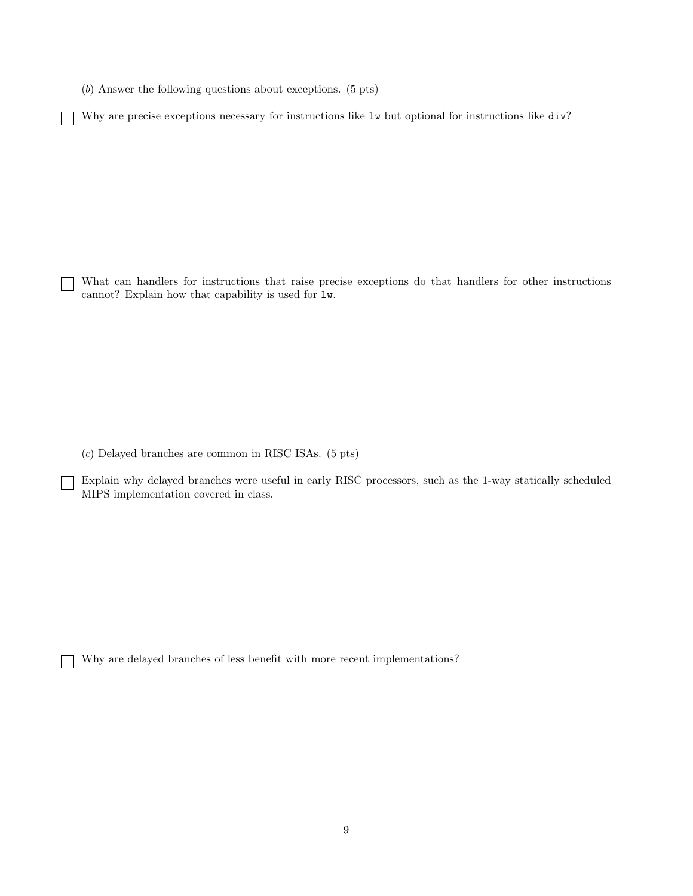(b) Answer the following questions about exceptions. (5 pts)

Why are precise exceptions necessary for instructions like  $1w$  but optional for instructions like div?

What can handlers for instructions that raise precise exceptions do that handlers for other instructions cannot? Explain how that capability is used for lw.

(c) Delayed branches are common in RISC ISAs. (5 pts)

 $\mathcal{L}$ 

Explain why delayed branches were useful in early RISC processors, such as the 1-way statically scheduled MIPS implementation covered in class.

Why are delayed branches of less benefit with more recent implementations?